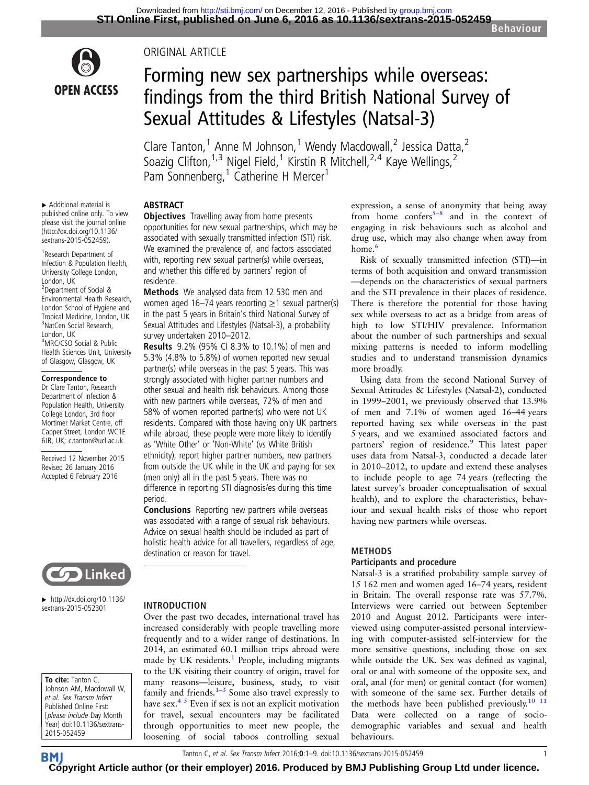

# ORIGINAL ARTICLE

# Forming new sex partnerships while overseas: findings from the third British National Survey of Sexual Attitudes & Lifestyles (Natsal-3)

Clare Tanton,<sup>1</sup> Anne M Johnson,<sup>1</sup> Wendy Macdowall,<sup>2</sup> Jessica Datta,<sup>2</sup> Soazig Clifton,  $1,3$  Nigel Field,  $1$  Kirstin R Mitchell,  $2,4$  Kaye Wellings,  $2$ Pam Sonnenberg,<sup>1</sup> Catherine H Mercer<sup>1</sup>

# ABSTRACT

▸ Additional material is published online only. To view please visit the journal online [\(http://dx.doi.org/10.1136/](http://dx.doi.org/10.1136/sextrans-2015-052459) [sextrans-2015-052459\)](http://dx.doi.org/10.1136/sextrans-2015-052459).

1 Research Department of Infection & Population Health, University College London, London, UK 2 Department of Social & Environmental Health Research, London School of Hygiene and Tropical Medicine, London, UK <sup>3</sup>NatCen Social Research, London, UK 4 MRC/CSO Social & Public Health Sciences Unit, University of Glasgow, Glasgow, UK

#### Correspondence to

Dr Clare Tanton, Research Department of Infection & Population Health, University College London, 3rd floor Mortimer Market Centre, off Capper Street, London WC1E 6JB, UK; c.tanton@ucl.ac.uk

Received 12 November 2015 Revised 26 January 2016 Accepted 6 February 2016



Methods We analysed data from 12 530 men and women aged 16–74 years reporting  $\geq$ 1 sexual partner(s) in the past 5 years in Britain's third National Survey of Sexual Attitudes and Lifestyles (Natsal-3), a probability survey undertaken 2010–2012.

Results 9.2% (95% CI 8.3% to 10.1%) of men and 5.3% (4.8% to 5.8%) of women reported new sexual partner(s) while overseas in the past 5 years. This was strongly associated with higher partner numbers and other sexual and health risk behaviours. Among those with new partners while overseas, 72% of men and 58% of women reported partner(s) who were not UK residents. Compared with those having only UK partners while abroad, these people were more likely to identify as 'White Other' or 'Non-White' (vs White British ethnicity), report higher partner numbers, new partners from outside the UK while in the UK and paying for sex (men only) all in the past 5 years. There was no difference in reporting STI diagnosis/es during this time period.

**Conclusions** Reporting new partners while overseas was associated with a range of sexual risk behaviours. Advice on sexual health should be included as part of holistic health advice for all travellers, regardless of age, destination or reason for travel.



 $\blacktriangleright$  [http://dx.doi.org/10.1136/](http://dx.doi.org/10.1136/sextrans-2015-052301) [sextrans-2015-052301](http://dx.doi.org/10.1136/sextrans-2015-052301)

To cite: Tanton C, Johnson AM, Macdowall W, et al. Sex Transm Infect Published Online First: [please include Day Month Year] doi:10.1136/sextrans-2015-052459

#### INTRODUCTION

Over the past two decades, international travel has increased considerably with people travelling more frequently and to a wider range of destinations. In 2014, an estimated 60.1 million trips abroad were made by UK residents.<sup>[1](#page-7-0)</sup> People, including migrants to the UK visiting their country of origin, travel for many reasons—leisure, business, study, to visit family and friends. $1-3$  $1-3$  Some also travel expressly to have sex. $4<sup>5</sup>$  Even if sex is not an explicit motivation for travel, sexual encounters may be facilitated through opportunities to meet new people, the loosening of social taboos controlling sexual

expression, a sense of anonymity that being away from home confers<sup>5-8</sup> and in the context of engaging in risk behaviours such as alcohol and drug use, which may also change when away from home.<sup>6</sup>

Risk of sexually transmitted infection (STI)—in terms of both acquisition and onward transmission —depends on the characteristics of sexual partners and the STI prevalence in their places of residence. There is therefore the potential for those having sex while overseas to act as a bridge from areas of high to low STI/HIV prevalence. Information about the number of such partnerships and sexual mixing patterns is needed to inform modelling studies and to understand transmission dynamics more broadly.

Using data from the second National Survey of Sexual Attitudes & Lifestyles (Natsal-2), conducted in 1999–2001, we previously observed that 13.9% of men and 7.1% of women aged 16–44 years reported having sex while overseas in the past 5 years, and we examined associated factors and partners' region of residence.<sup>9</sup> This latest paper uses data from Natsal-3, conducted a decade later in 2010–2012, to update and extend these analyses to include people to age 74 years (reflecting the latest survey's broader conceptualisation of sexual health), and to explore the characteristics, behaviour and sexual health risks of those who report having new partners while overseas.

# METHODS

# Participants and procedure

Natsal-3 is a stratified probability sample survey of 15 162 men and women aged 16–74 years, resident in Britain. The overall response rate was 57.7%. Interviews were carried out between September 2010 and August 2012. Participants were interviewed using computer-assisted personal interviewing with computer-assisted self-interview for the more sensitive questions, including those on sex while outside the UK. Sex was defined as vaginal, oral or anal with someone of the opposite sex, and oral, anal (for men) or genital contact (for women) with someone of the same sex. Further details of the methods have been published previously.<sup>10</sup> <sup>11</sup> Data were collected on a range of sociodemographic variables and sexual and health behaviours.

Tanton C, et al. Sex Transm Infect 2016;0:1-9. doi:10.1136/sextrans-2015-052459

**BM [Cop](http://sti.bmj.com)yright Article author (or their employer) 2016. Produced by BMJ Publishing Group Ltd under licence.**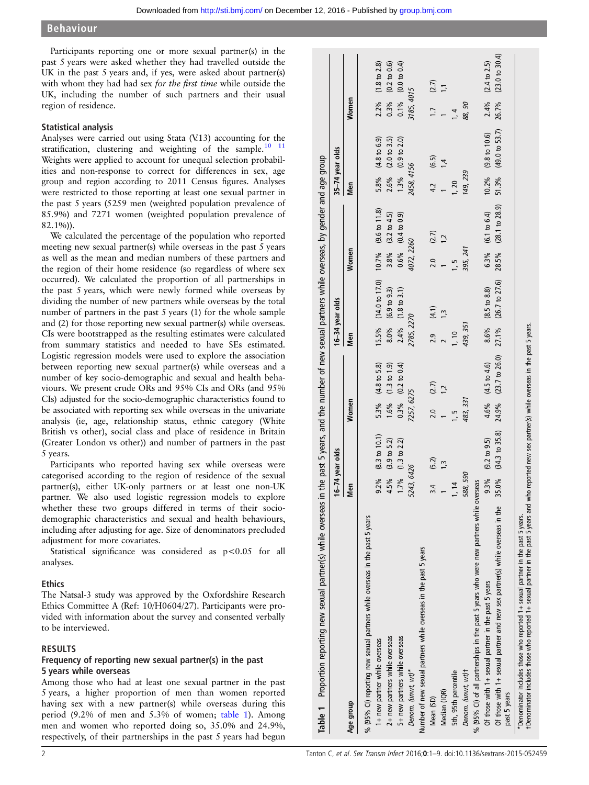Participants reporting one or more sexual partner(s) in the past 5 years were asked whether they had travelled outside the UK in the past 5 years and, if yes, were asked about partner(s) with whom they had had sex *for the first time* while outside the UK, including the number of such partners and their usual region of residence.

# Statistical analysis

Analyses were carried out using Stata (V.13) accounting for the stratification, clustering and weighting of the sample. $10^{-11}$ Weights were applied to account for unequal selection probabilities and non-response to correct for differences in sex, age group and region according to 2011 Census figures. Analyses were restricted to those reporting at least one sexual partner in the past 5 years (5259 men (weighted population prevalence of 85.9%) and 7271 women (weighted population prevalence of 82.1%)).

We calculated the percentage of the population who reported meeting new sexual partner(s) while overseas in the past 5 years as well as the mean and median numbers of these partners and the region of their home residence (so regardless of where sex occurred). We calculated the proportion of all partnerships in the past 5 years, which were newly formed while overseas by dividing the number of new partners while overseas by the total number of partners in the past 5 years (1) for the whole sample and (2) for those reporting new sexual partner(s) while overseas. CIs were bootstrapped as the resulting estimates were calculated from summary statistics and needed to have SEs estimated. Logistic regression models were used to explore the association between reporting new sexual partner(s) while overseas and a number of key socio-demographic and sexual and health behaviours. We present crude ORs and 95% CIs and ORs (and 95% CIs) adjusted for the socio-demographic characteristics found to be associated with reporting sex while overseas in the univariate analysis (ie, age, relationship status, ethnic category (White British vs other), social class and place of residence in Britain (Greater London vs other)) and number of partners in the past 5 years.

Participants who reported having sex while overseas were categorised according to the region of residence of the sexual partner(s), either UK-only partners or at least one non-UK partner. We also used logistic regression models to explore whether these two groups differed in terms of their sociodemographic characteristics and sexual and health behaviours, including after adjusting for age. Size of denominators precluded adjustment for more covariates.

Statistical significance was considered as  $p < 0.05$  for all analyses.

# **Ethics**

The Natsal-3 study was approved by the Oxfordshire Research Ethics Committee A (Ref: 10/H0604/27). Participants were provided with information about the survey and consented verbally to be interviewed.

# RESULTS

# Frequency of reporting new sexual partner(s) in the past 5 years while overseas

Among those who had at least one sexual partner in the past 5 years, a higher proportion of men than women reported having sex with a new partner(s) while overseas during this period (9.2% of men and 5.3% of women; table 1). Among men and women who reported doing so, 35.0% and 24.9%, respectively, of their partnerships in the past 5 years had begun

| Table 1 Proportion reporting new sexual partner(s) while overseas in t                                                                                                                                                                     | 16-74 year olds                    | the past 5 years, and the number of new sexual partners while overseas, by gender and age group | 16-34 year olds                |                                 |            | 35-74 year olds                 |                                 |                         |
|--------------------------------------------------------------------------------------------------------------------------------------------------------------------------------------------------------------------------------------------|------------------------------------|-------------------------------------------------------------------------------------------------|--------------------------------|---------------------------------|------------|---------------------------------|---------------------------------|-------------------------|
| Age group                                                                                                                                                                                                                                  | Men                                | Women                                                                                           | Men                            | Women                           | Men        |                                 | Women                           |                         |
| % (95% CI) reporting new sexual partners while overseas in the past 5 years                                                                                                                                                                |                                    |                                                                                                 |                                |                                 |            |                                 |                                 |                         |
| 1+ new partner while overseas                                                                                                                                                                                                              | $9.2\%$ $(8.3 \text{ to } 10.1)$   | 5.3% (4.8 to 5.8)                                                                               | 15.5% (14.0 to 17.0)           | $10.7\%$ (9.6 to 11.8)          |            | 5.8% (4.8 to 6.9)               |                                 | $2.2\%$ (1.8 to 2.8)    |
| 2+ new partners while overseas                                                                                                                                                                                                             | $.5\%$ $(3.9 \text{ to } 5.2)$     | $1.6\%$ $(1.3 \text{ to } 1.9)$                                                                 | (6.9 to 9.3)<br>8.0%           | 3.8% $(3.2 \text{ to } 4.5)$    | 2.6%       | (2.0 to 3.5)                    | 0.3%                            | $(0.2 \text{ to } 0.6)$ |
| 5+ new partners while overseas                                                                                                                                                                                                             | $.7\%$ (1.3 to 2.2)                | $0.3\%$ $(0.2 \text{ to } 0.4)$                                                                 | $2.4\%$ (1.8 to 3.1)           | $0.6\%$ $(0.4 \text{ to } 0.9)$ |            | $1.3\%$ $(0.9 \text{ to } 2.0)$ | $0.1\%$ $(0.0 \text{ to } 0.4)$ |                         |
| Denom. (unwt, wt)*                                                                                                                                                                                                                         | 5243, 6426                         | 7257, 6275                                                                                      | 2785, 2270                     | 4072, 2260                      | 2458, 4156 |                                 | 3185, 4015                      |                         |
| Number of new sexual partners while overseas in the past 5 years                                                                                                                                                                           |                                    |                                                                                                 |                                |                                 |            |                                 |                                 |                         |
| Mean (SD)                                                                                                                                                                                                                                  | (5.2)<br>4                         |                                                                                                 | $2.9$ (4.1)                    | $2.0$ $(2.7)$                   |            | $4.2$ (6.5)                     |                                 |                         |
| Median (IQR)                                                                                                                                                                                                                               |                                    | $2.0$ (2.7)<br>1 $1,2$                                                                          | 1,3                            | 1,2                             |            | $\overline{1}$                  | $1.7$ (2.7)<br>1 $1,1$          |                         |
| 5th, 95th percentile                                                                                                                                                                                                                       | 1, 14                              | 1, 5                                                                                            | 1, 10                          | $\frac{5}{1}$                   | 1, 20      |                                 | 1, 4                            |                         |
| Denom. (unwt, wt)t                                                                                                                                                                                                                         | 588, 590                           | 483, 331                                                                                        | 439, 351                       | 395, 241                        | 149, 239   |                                 | 88,90                           |                         |
| % (95% CI) of all partnerships in the past 5 years who were new partners while overseas                                                                                                                                                    |                                    |                                                                                                 |                                |                                 |            |                                 |                                 |                         |
| Of those with 1+ sexual partner in the past 5 years                                                                                                                                                                                        | $(9.2 \text{ to } 9.5)$<br>$9.3\%$ | $(4.5 \text{ to } 4.6)$<br>4.6%                                                                 | $(8.5\ {\rm to}\ 8.8)$<br>8.6% | (6.1 to 6.4)<br>6.3%            | 10.2%      | $(9.8 \text{ to } 10.6)$        | 2.4%                            | (2.4 to 2.5)            |
| Of those with 1+ sexual partner and new sex partner(s) while overseas in the<br>past 5 years                                                                                                                                               | (34.3 to 35.8)<br>35.0%            | 24.9% (23.7 to 26.0)                                                                            | (26.7 to 27.6)<br>27.1%        | (28.1 to 28.9)<br>28.5%         | 51.3%      | (49.0 t0 53.7)                  | 26.7%                           | (23.0 to 30.4)          |
| t Denominator includes those who reported 1+ sexual partner in the past 5 years and who reported new sex partner(s) while overseas in the past 5 years.<br>*Denominator includes those who reported 1+ sexual partner in the past 5 years. |                                    |                                                                                                 |                                |                                 |            |                                 |                                 |                         |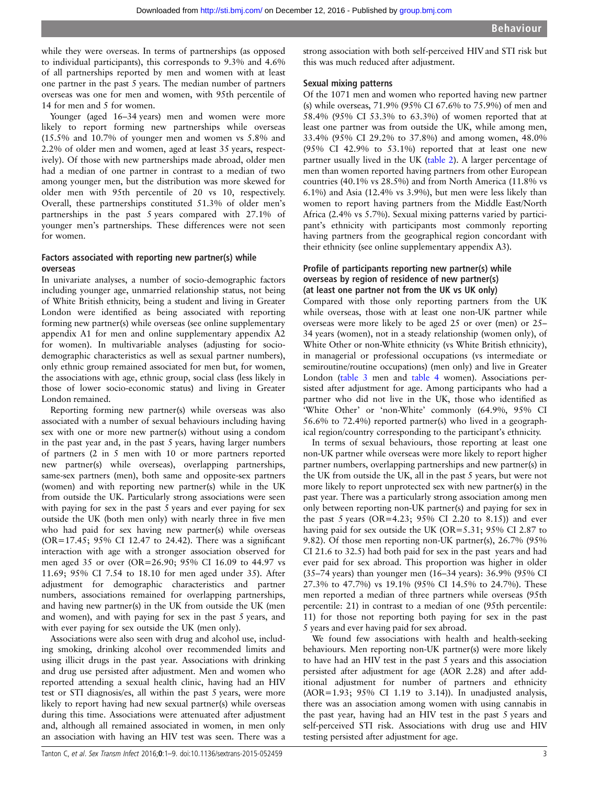while they were overseas. In terms of partnerships (as opposed to individual participants), this corresponds to 9.3% and 4.6% of all partnerships reported by men and women with at least one partner in the past 5 years. The median number of partners overseas was one for men and women, with 95th percentile of 14 for men and 5 for women.

Younger (aged 16–34 years) men and women were more likely to report forming new partnerships while overseas (15.5% and 10.7% of younger men and women vs 5.8% and 2.2% of older men and women, aged at least 35 years, respectively). Of those with new partnerships made abroad, older men had a median of one partner in contrast to a median of two among younger men, but the distribution was more skewed for older men with 95th percentile of 20 vs 10, respectively. Overall, these partnerships constituted 51.3% of older men's partnerships in the past 5 years compared with 27.1% of younger men's partnerships. These differences were not seen for women.

#### Factors associated with reporting new partner(s) while overseas

In univariate analyses, a number of socio-demographic factors including younger age, unmarried relationship status, not being of White British ethnicity, being a student and living in Greater London were identified as being associated with reporting forming new partner(s) while overseas (see online [supplementary](http://dx.doi.org/10.1136/sextrans-2015-052459) [appendix](http://dx.doi.org/10.1136/sextrans-2015-052459) A1 for men and online [supplementary appendix](http://dx.doi.org/10.1136/sextrans-2015-052459) A2 for women). In multivariable analyses (adjusting for sociodemographic characteristics as well as sexual partner numbers), only ethnic group remained associated for men but, for women, the associations with age, ethnic group, social class (less likely in those of lower socio-economic status) and living in Greater London remained.

Reporting forming new partner(s) while overseas was also associated with a number of sexual behaviours including having sex with one or more new partner(s) without using a condom in the past year and, in the past 5 years, having larger numbers of partners (2 in 5 men with 10 or more partners reported new partner(s) while overseas), overlapping partnerships, same-sex partners (men), both same and opposite-sex partners (women) and with reporting new partner(s) while in the UK from outside the UK. Particularly strong associations were seen with paying for sex in the past 5 years and ever paying for sex outside the UK (both men only) with nearly three in five men who had paid for sex having new partner(s) while overseas (OR=17.45; 95% CI 12.47 to 24.42). There was a significant interaction with age with a stronger association observed for men aged 35 or over (OR=26.90; 95% CI 16.09 to 44.97 vs 11.69; 95% CI 7.54 to 18.10 for men aged under 35). After adjustment for demographic characteristics and partner numbers, associations remained for overlapping partnerships, and having new partner(s) in the UK from outside the UK (men and women), and with paying for sex in the past 5 years, and with ever paying for sex outside the UK (men only).

Associations were also seen with drug and alcohol use, including smoking, drinking alcohol over recommended limits and using illicit drugs in the past year. Associations with drinking and drug use persisted after adjustment. Men and women who reported attending a sexual health clinic, having had an HIV test or STI diagnosis/es, all within the past 5 years, were more likely to report having had new sexual partner(s) while overseas during this time. Associations were attenuated after adjustment and, although all remained associated in women, in men only an association with having an HIV test was seen. There was a

strong association with both self-perceived HIV and STI risk but this was much reduced after adjustment.

# Sexual mixing patterns

Of the 1071 men and women who reported having new partner (s) while overseas, 71.9% (95% CI 67.6% to 75.9%) of men and 58.4% (95% CI 53.3% to 63.3%) of women reported that at least one partner was from outside the UK, while among men, 33.4% (95% CI 29.2% to 37.8%) and among women, 48.0% (95% CI 42.9% to 53.1%) reported that at least one new partner usually lived in the UK [\(table 2\)](#page-3-0). A larger percentage of men than women reported having partners from other European countries (40.1% vs 28.5%) and from North America (11.8% vs 6.1%) and Asia (12.4% vs 3.9%), but men were less likely than women to report having partners from the Middle East/North Africa (2.4% vs 5.7%). Sexual mixing patterns varied by participant's ethnicity with participants most commonly reporting having partners from the geographical region concordant with their ethnicity (see online [supplementary appendix](http://dx.doi.org/10.1136/sextrans-2015-052459) A3).

#### Profile of participants reporting new partner(s) while overseas by region of residence of new partner(s) (at least one partner not from the UK vs UK only)

Compared with those only reporting partners from the UK while overseas, those with at least one non-UK partner while overseas were more likely to be aged 25 or over (men) or 25– 34 years (women), not in a steady relationship (women only), of White Other or non-White ethnicity (vs White British ethnicity), in managerial or professional occupations (vs intermediate or semiroutine/routine occupations) (men only) and live in Greater London [\(table 3](#page-4-0) men and [table 4](#page-6-0) women). Associations persisted after adjustment for age. Among participants who had a partner who did not live in the UK, those who identified as 'White Other' or 'non-White' commonly (64.9%, 95% CI 56.6% to 72.4%) reported partner(s) who lived in a geographical region/country corresponding to the participant's ethnicity.

In terms of sexual behaviours, those reporting at least one non-UK partner while overseas were more likely to report higher partner numbers, overlapping partnerships and new partner(s) in the UK from outside the UK, all in the past 5 years, but were not more likely to report unprotected sex with new partner(s) in the past year. There was a particularly strong association among men only between reporting non-UK partner(s) and paying for sex in the past 5 years (OR=4.23;  $95\%$  CI 2.20 to 8.15)) and ever having paid for sex outside the UK (OR=5.31; 95% CI 2.87 to 9.82). Of those men reporting non-UK partner(s), 26.7% (95% CI 21.6 to 32.5) had both paid for sex in the past years and had ever paid for sex abroad. This proportion was higher in older (35–74 years) than younger men (16–34 years): 36.9% (95% CI 27.3% to 47.7%) vs 19.1% (95% CI 14.5% to 24.7%). These men reported a median of three partners while overseas (95th percentile: 21) in contrast to a median of one (95th percentile: 11) for those not reporting both paying for sex in the past 5 years and ever having paid for sex abroad.

We found few associations with health and health-seeking behaviours. Men reporting non-UK partner(s) were more likely to have had an HIV test in the past 5 years and this association persisted after adjustment for age (AOR 2.28) and after additional adjustment for number of partners and ethnicity  $(AOR=1.93; 95\% \text{ CI } 1.19 \text{ to } 3.14)$ ). In unadjusted analysis, there was an association among women with using cannabis in the past year, having had an HIV test in the past 5 years and self-perceived STI risk. Associations with drug use and HIV testing persisted after adjustment for age.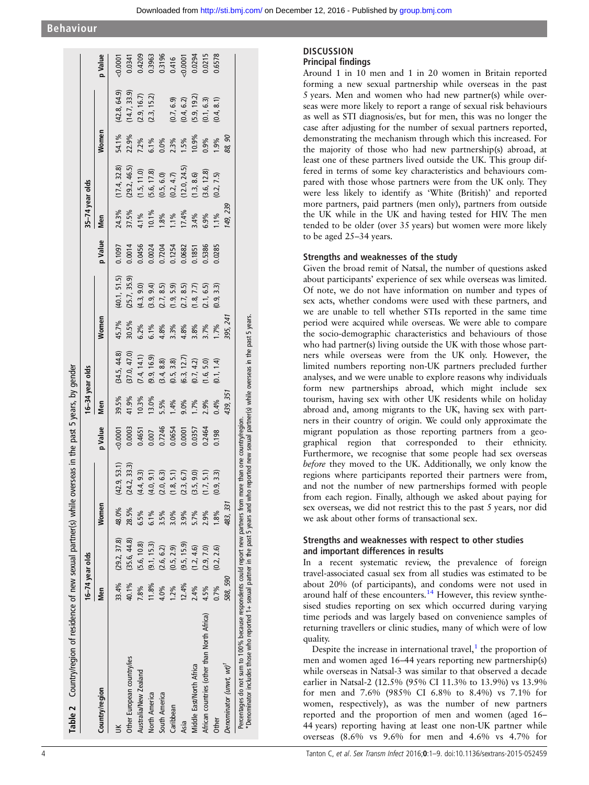<span id="page-3-0"></span>

|                                                                                                                                                                                                          |          | 16-74 year olds |          |                             |                                                                                              |                                                                                     | 16-34 year olds                                                                |                                                                                                                                                                                                                                                                                      |                                                                                                              |                                                                     | 35-74 year olds                                         |                                                                                                                      |                                                                                                             |                                               |                                                               |
|----------------------------------------------------------------------------------------------------------------------------------------------------------------------------------------------------------|----------|-----------------|----------|-----------------------------|----------------------------------------------------------------------------------------------|-------------------------------------------------------------------------------------|--------------------------------------------------------------------------------|--------------------------------------------------------------------------------------------------------------------------------------------------------------------------------------------------------------------------------------------------------------------------------------|--------------------------------------------------------------------------------------------------------------|---------------------------------------------------------------------|---------------------------------------------------------|----------------------------------------------------------------------------------------------------------------------|-------------------------------------------------------------------------------------------------------------|-----------------------------------------------|---------------------------------------------------------------|
| Country/region                                                                                                                                                                                           | Men      |                 | Women    |                             | p Value                                                                                      | Men                                                                                 |                                                                                | Nomen                                                                                                                                                                                                                                                                                |                                                                                                              | p Value                                                             | Men                                                     |                                                                                                                      | Women                                                                                                       |                                               | p Value                                                       |
|                                                                                                                                                                                                          | 33.4%    | (29.2, 37.8)    | 48.0%    | 2.9, 53.1<br>$\hat{a}$      | 0.0001                                                                                       |                                                                                     | (34.5, 44.8)                                                                   |                                                                                                                                                                                                                                                                                      | (40.1, 51.5)                                                                                                 |                                                                     |                                                         |                                                                                                                      | 54.1%                                                                                                       |                                               | 0.0001                                                        |
| Other European countrylies                                                                                                                                                                               | 40.1%    | (35.6, 44.8)    | 28.5%    | (24.2, 33.3)                |                                                                                              | 39.5%<br>41.9%                                                                      | (37.0, 47.0)                                                                   | 45.7%<br>30.5%                                                                                                                                                                                                                                                                       | (25.7, 35.9)                                                                                                 |                                                                     |                                                         |                                                                                                                      |                                                                                                             | $(42.8, 64.9)$<br>$(14.7, 33.9)$              |                                                               |
| Australia/New Zealand                                                                                                                                                                                    | 7.8%     | (5.6, 10.8)     | 6.5%     | 9.3)<br>(4.4,               |                                                                                              |                                                                                     | (7.4, 14.1)                                                                    |                                                                                                                                                                                                                                                                                      |                                                                                                              |                                                                     |                                                         |                                                                                                                      |                                                                                                             |                                               |                                                               |
| North America                                                                                                                                                                                            | 11.8%    | (9.1, 15.3)     | 6.1%     | $\overline{5}$<br>(4.0,     |                                                                                              |                                                                                     |                                                                                |                                                                                                                                                                                                                                                                                      |                                                                                                              |                                                                     |                                                         |                                                                                                                      |                                                                                                             | $(2.9, 16.7)$<br>$(2.3, 15.2)$                |                                                               |
| South America                                                                                                                                                                                            | 4.0%     | (2.6, 6.2)      | 3.5%     | 6.3)<br>(2.0,               |                                                                                              |                                                                                     |                                                                                |                                                                                                                                                                                                                                                                                      |                                                                                                              |                                                                     |                                                         |                                                                                                                      |                                                                                                             |                                               |                                                               |
| Caribbean                                                                                                                                                                                                | 1.2%     | (0.5, 2.9)      | 3.0%     | $\overline{5.1}$<br>(1.8,   | $\begin{array}{l} 0.0003\\0.4651\\0.007\\0.7246\\0.0654\\0.0001\\0.0001\\0.0357 \end{array}$ | $\begin{array}{l} 10.3\% \\ 13.0\% \\ 5.5\% \\ 1.4\% \\ 9.0\% \\ 1.7\% \end{array}$ | $(9.9, 16.9)$<br>$(3.4, 8.8)$<br>$(0.5, 3.8)$<br>$(6.3, 12.7)$<br>$(0.7, 4.2)$ | $6.2%$<br>$6.1%$<br>$6.1%$<br>$6.4%$<br>$6.3%$<br>$6.4%$<br>$6.3%$<br>$6.3%$<br>$6.3%$<br>$6.3%$<br>$6.3%$<br>$6.3%$<br>$6.3%$<br>$6.3%$<br>$6.3%$<br>$6.3%$<br>$6.3%$<br>$6.3%$<br>$6.3%$<br>$6.3%$<br>$6.3%$<br>$6.3%$<br>$6.3%$<br>$6.3%$<br>$6.3%$<br>$6.3%$<br>$6.3%$<br>$6.3%$ | $(4.3, 9.0)$<br>$(3.9, 9.4)$<br>$(2.7, 8.5)$<br>$(1.9, 5.9)$<br>$(1.8, 7.7)$<br>$(1.8, 7.7)$<br>$(2.1, 6.5)$ | 0.1097<br>0.0014<br>0.0456<br>0.02204<br>0.0682<br>0.0851<br>0.0851 | 24.3%<br>37.5%<br>4.1%<br>1.8%<br>1.1%<br>17.4%<br>3.4% | $(17.4, 32.8)$<br>$(29.2, 46.5)$<br>$(1.5, 11.0)$<br>$(5.6, 17.8)$<br>$(0.5, 6.0)$<br>$(0.2, 4.7)$<br>$(12.0, 24.5)$ | $22.9%$<br>$7.2%$<br>$6.1%$<br>$6.0%$<br>$7.3%$<br>$1.5%$<br>$1.9%$<br>$1.9%$<br>$1.9%$<br>$1.9%$<br>$1.9%$ |                                               | 0.0341<br>0.42.09<br>0.3.9963<br>0.416<br>0.02.0415<br>0.6578 |
| Asia                                                                                                                                                                                                     | 12.4%    | (9.5, 15.9)     | 3.9%     | 6.7)<br>(2.3)               |                                                                                              |                                                                                     |                                                                                |                                                                                                                                                                                                                                                                                      |                                                                                                              |                                                                     |                                                         |                                                                                                                      |                                                                                                             | $(0.7, 6.9)$<br>$(0.4, 6.2)$<br>$(5.9, 19.2)$ |                                                               |
| Middle East/North Africa                                                                                                                                                                                 | $-4%$    | 1.2, 4.6        | 5.7%     | 9.0)<br>(3.5,               |                                                                                              |                                                                                     |                                                                                |                                                                                                                                                                                                                                                                                      |                                                                                                              |                                                                     |                                                         |                                                                                                                      |                                                                                                             |                                               |                                                               |
| African countries (other than North Africa)                                                                                                                                                              | 4.5%     | (2.9, 7.0)      | 2.9%     | $\overline{5.1}$            | 0.2464                                                                                       | 2.9%                                                                                | (1.6, 5.0)                                                                     |                                                                                                                                                                                                                                                                                      |                                                                                                              |                                                                     |                                                         | $(1.3, 8.6)$<br>$(3.6, 12.8)$                                                                                        |                                                                                                             | (0.1, 6.3)                                    |                                                               |
|                                                                                                                                                                                                          | 0.7%     | (0.2, 2.6)      | 1.8%     | $\overline{3}$ .3)<br>(0.9) | 0.198                                                                                        | 0.4%                                                                                | (0.1, 1.4)                                                                     |                                                                                                                                                                                                                                                                                      | 3.3)<br>(0.9,                                                                                                | 0.0285                                                              | 1%                                                      | (0.2, 7.5)                                                                                                           |                                                                                                             | (0.4, 8.1)                                    |                                                               |
| Denominator (unwt, wt) <sup>1</sup>                                                                                                                                                                      | 588, 590 |                 | 483, 331 |                             |                                                                                              | 439, 351                                                                            |                                                                                | 395, 241                                                                                                                                                                                                                                                                             |                                                                                                              |                                                                     | 149, 239                                                |                                                                                                                      |                                                                                                             |                                               |                                                               |
| Percentages do not sum to 100% because respondents could report new partners from more than one country/region<br>*Denominator includes those who reported 1+ sexual partner in the past 5 years and who |          |                 |          |                             |                                                                                              |                                                                                     | reported new sexual partner(s) while overseas in the past 5 years.             |                                                                                                                                                                                                                                                                                      |                                                                                                              |                                                                     |                                                         |                                                                                                                      |                                                                                                             |                                               |                                                               |

#### **DISCUSSION** Principal findings

Around 1 in 10 men and 1 in 20 women in Britain reported forming a new sexual partnership while overseas in the past 5 years. Men and women who had new partner(s) while overseas were more likely to report a range of sexual risk behaviours as well as STI diagnosis/es, but for men, this was no longer the case after adjusting for the number of sexual partners reported, demonstrating the mechanism through which this increased. For the majority of those who had new partnership(s) abroad, at least one of these partners lived outside the UK. This group differed in terms of some key characteristics and behaviours compared with those whose partners were from the UK only. They were less likely to identify as 'White (British)' and reported more partners, paid partners (men only), partners from outside the UK while in the UK and having tested for HIV. The men tended to be older (over 35 years) but women were more likely to be aged 25–34 years.

# Strengths and weaknesses of the study

Given the broad remit of Natsal, the number of questions asked about participants' experience of sex while overseas was limited. Of note, we do not have information on number and types of sex acts, whether condoms were used with these partners, and we are unable to tell whether STIs reported in the same time period were acquired while overseas. We were able to compare the socio-demographic characteristics and behaviours of those who had partner(s) living outside the UK with those whose partners while overseas were from the UK only. However, the limited numbers reporting non-UK partners precluded further analyses, and we were unable to explore reasons why individuals form new partnerships abroad, which might include sex tourism, having sex with other UK residents while on holiday abroad and, among migrants to the UK, having sex with partners in their country of origin. We could only approximate the migrant population as those reporting partners from a geographical region that corresponded to their ethnicity. Furthermore, we recognise that some people had sex overseas before they moved to the UK. Additionally, we only know the regions where participants reported their partners were from, and not the number of new partnerships formed with people from each region. Finally, although we asked about paying for sex overseas, we did not restrict this to the past 5 years, nor did we ask about other forms of transactional sex.

#### Strengths and weaknesses with respect to other studies and important differences in results

In a recent systematic review, the prevalence of foreign travel-associated casual sex from all studies was estimated to be about 20% (of participants), and condoms were not used in around half of these encounters. $14$  However, this review synthesised studies reporting on sex which occurred during varying time periods and was largely based on convenience samples of returning travellers or clinic studies, many of which were of low quality.

Despite the increase in international travel, $<sup>1</sup>$  $<sup>1</sup>$  $<sup>1</sup>$  the proportion of</sup> men and women aged 16–44 years reporting new partnership(s) while overseas in Natsal-3 was similar to that observed a decade earlier in Natsal-2 (12.5% (95% CI 11.3% to 13.9%) vs 13.9% for men and 7.6% (985% CI 6.8% to 8.4%) vs 7.1% for women, respectively), as was the number of new partners reported and the proportion of men and women (aged 16– 44 years) reporting having at least one non-UK partner while overseas (8.6% vs 9.6% for men and 4.6% vs 4.7% for

 $\ddot{\phantom{0}}$  $\overline{\phantom{a}}$  $\frac{1}{2}$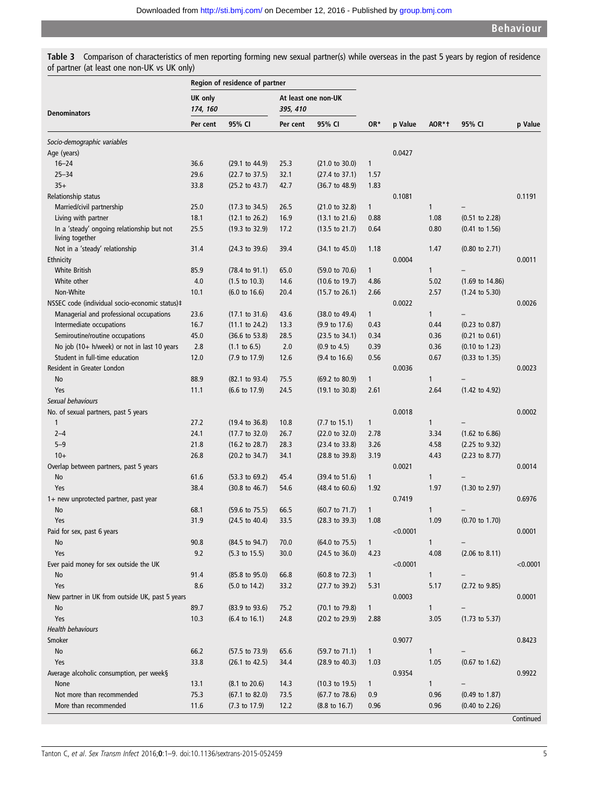<span id="page-4-0"></span>Table 3 Comparison of characteristics of men reporting forming new sexual partner(s) while overseas in the past 5 years by region of residence of partner (at least one non-UK vs UK only)

|                                                               |                     | Region of residence of partner |          |                           |              |          |              |                            |          |
|---------------------------------------------------------------|---------------------|--------------------------------|----------|---------------------------|--------------|----------|--------------|----------------------------|----------|
| <b>Denominators</b>                                           | UK only<br>174, 160 |                                | 395, 410 | At least one non-UK       |              |          |              |                            |          |
|                                                               | Per cent            | 95% CI                         | Per cent | 95% CI                    | OR*          | p Value  | AOR*t        | 95% CI                     | p Value  |
| Socio-demographic variables                                   |                     |                                |          |                           |              |          |              |                            |          |
| Age (years)                                                   |                     |                                |          |                           |              | 0.0427   |              |                            |          |
| $16 - 24$                                                     | 36.6                | $(29.1 \text{ to } 44.9)$      | 25.3     | $(21.0 \text{ to } 30.0)$ | $\mathbf{1}$ |          |              |                            |          |
| $25 - 34$                                                     | 29.6                | $(22.7 \text{ to } 37.5)$      | 32.1     | $(27.4 \text{ to } 37.1)$ | 1.57         |          |              |                            |          |
| $35+$                                                         | 33.8                | $(25.2 \text{ to } 43.7)$      | 42.7     | $(36.7 \text{ to } 48.9)$ | 1.83         |          |              |                            |          |
| Relationship status                                           |                     |                                |          |                           |              | 0.1081   |              |                            | 0.1191   |
| Married/civil partnership                                     | 25.0                | $(17.3 \text{ to } 34.5)$      | 26.5     | $(21.0 \text{ to } 32.8)$ | $\mathbf{1}$ |          | 1            |                            |          |
| Living with partner                                           | 18.1                | $(12.1 \text{ to } 26.2)$      | 16.9     | $(13.1 \text{ to } 21.6)$ | 0.88         |          | 1.08         | $(0.51$ to 2.28)           |          |
| In a 'steady' ongoing relationship but not<br>living together | 25.5                | $(19.3 \text{ to } 32.9)$      | 17.2     | $(13.5 \text{ to } 21.7)$ | 0.64         |          | 0.80         | $(0.41 \text{ to } 1.56)$  |          |
| Not in a 'steady' relationship                                | 31.4                | $(24.3 \text{ to } 39.6)$      | 39.4     | $(34.1 \text{ to } 45.0)$ | 1.18         |          | 1.47         | $(0.80 \text{ to } 2.71)$  |          |
| Ethnicity                                                     |                     |                                |          |                           |              | 0.0004   |              |                            | 0.0011   |
| <b>White British</b>                                          | 85.9                | (78.4 to 91.1)                 | 65.0     | (59.0 to 70.6)            | $\mathbf{1}$ |          | 1            |                            |          |
| White other                                                   | 4.0                 | $(1.5 \text{ to } 10.3)$       | 14.6     | $(10.6 \text{ to } 19.7)$ | 4.86         |          | 5.02         | $(1.69 \text{ to } 14.86)$ |          |
| Non-White                                                     | 10.1                | $(6.0 \text{ to } 16.6)$       | 20.4     | $(15.7 \text{ to } 26.1)$ | 2.66         |          | 2.57         | $(1.24 \text{ to } 5.30)$  |          |
| NSSEC code (individual socio-economic status)‡                |                     |                                |          |                           |              | 0.0022   |              |                            | 0.0026   |
| Managerial and professional occupations                       | 23.6                | $(17.1 \text{ to } 31.6)$      | 43.6     | $(38.0 \text{ to } 49.4)$ | $\mathbf{1}$ |          | 1            |                            |          |
| Intermediate occupations                                      | 16.7                | $(11.1 \text{ to } 24.2)$      | 13.3     | $(9.9 \text{ to } 17.6)$  | 0.43         |          | 0.44         | $(0.23 \text{ to } 0.87)$  |          |
| Semiroutine/routine occupations                               | 45.0                | $(36.6 \text{ to } 53.8)$      | 28.5     | $(23.5 \text{ to } 34.1)$ | 0.34         |          | 0.36         | $(0.21 \text{ to } 0.61)$  |          |
| No job (10+ h/week) or not in last 10 years                   | 2.8                 | $(1.1 \text{ to } 6.5)$        | 2.0      | $(0.9 \text{ to } 4.5)$   | 0.39         |          | 0.36         | $(0.10 \text{ to } 1.23)$  |          |
| Student in full-time education                                | 12.0                | $(7.9 \text{ to } 17.9)$       | 12.6     | $(9.4 \text{ to } 16.6)$  | 0.56         |          | 0.67         | $(0.33 \text{ to } 1.35)$  |          |
| Resident in Greater London                                    |                     |                                |          |                           |              | 0.0036   |              |                            | 0.0023   |
| No                                                            | 88.9                | $(82.1 \text{ to } 93.4)$      | 75.5     | $(69.2 \text{ to } 80.9)$ | $\mathbf{1}$ |          | 1            |                            |          |
| Yes                                                           | 11.1                | (6.6 to 17.9)                  | 24.5     | (19.1 to 30.8)            | 2.61         |          | 2.64         | $(1.42 \text{ to } 4.92)$  |          |
| Sexual behaviours                                             |                     |                                |          |                           |              |          |              |                            |          |
| No. of sexual partners, past 5 years                          |                     |                                |          |                           |              | 0.0018   |              |                            | 0.0002   |
| $\mathbf{1}$                                                  | 27.2                | $(19.4 \text{ to } 36.8)$      | 10.8     | $(7.7 \text{ to } 15.1)$  | $\mathbf{1}$ |          | 1            |                            |          |
| $2 - 4$                                                       | 24.1                | $(17.7 \text{ to } 32.0)$      | 26.7     | $(22.0 \text{ to } 32.0)$ | 2.78         |          | 3.34         | $(1.62 \text{ to } 6.86)$  |          |
| $5 - 9$                                                       | 21.8                | $(16.2 \text{ to } 28.7)$      | 28.3     | $(23.4 \text{ to } 33.8)$ | 3.26         |          | 4.58         | (2.25 to 9.32)             |          |
| $10+$                                                         | 26.8                | $(20.2 \text{ to } 34.7)$      | 34.1     | $(28.8 \text{ to } 39.8)$ | 3.19         |          | 4.43         | $(2.23 \text{ to } 8.77)$  |          |
| Overlap between partners, past 5 years                        |                     |                                |          |                           |              | 0.0021   |              |                            | 0.0014   |
| No                                                            | 61.6                | $(53.3 \text{ to } 69.2)$      | 45.4     | $(39.4 \text{ to } 51.6)$ | $\mathbf{1}$ |          | 1            |                            |          |
| Yes                                                           | 38.4                | $(30.8 \text{ to } 46.7)$      | 54.6     | $(48.4 \text{ to } 60.6)$ | 1.92         |          | 1.97         | $(1.30 \text{ to } 2.97)$  |          |
| 1+ new unprotected partner, past year                         |                     |                                |          |                           |              | 0.7419   |              |                            | 0.6976   |
| No                                                            | 68.1                | $(59.6 \text{ to } 75.5)$      | 66.5     | $(60.7 \text{ to } 71.7)$ | 1            |          | 1            |                            |          |
| Yes                                                           | 31.9                | $(24.5 \text{ to } 40.4)$      | 33.5     | (28.3 to 39.3)            | 1.08         |          | 1.09         | (0.70 to 1.70)             |          |
| Paid for sex, past 6 years                                    |                     |                                |          |                           |              | < 0.0001 |              |                            | 0.0001   |
| No                                                            | 90.8                | (84.5 to 94.7)                 | 70.0     | $(64.0 \text{ to } 75.5)$ | $\mathbf{1}$ |          | 1            |                            |          |
| Yes                                                           | 9.2                 | $(5.3 \text{ to } 15.5)$       | 30.0     | $(24.5 \text{ to } 36.0)$ | 4.23         |          | 4.08         | $(2.06 \text{ to } 8.11)$  |          |
| Ever paid money for sex outside the UK                        |                     |                                |          |                           |              | < 0.0001 |              |                            | < 0.0001 |
| No                                                            | 91.4                | (85.8 to 95.0)                 | 66.8     | $(60.8 \text{ to } 72.3)$ | $\mathbf{1}$ |          | $\mathbf{1}$ |                            |          |
| Yes                                                           | 8.6                 | $(5.0 \text{ to } 14.2)$       | 33.2     | (27.7 to 39.2)            | 5.31         |          | 5.17         | $(2.72 \text{ to } 9.85)$  |          |
| New partner in UK from outside UK, past 5 years               |                     |                                |          |                           |              | 0.0003   |              |                            | 0.0001   |
| No                                                            | 89.7                | $(83.9 \text{ to } 93.6)$      | 75.2     | (70.1 to 79.8)            | $\mathbf{1}$ |          | 1            |                            |          |
| Yes                                                           | 10.3                | $(6.4 \text{ to } 16.1)$       | 24.8     | $(20.2 \text{ to } 29.9)$ | 2.88         |          | 3.05         | $(1.73$ to 5.37)           |          |
| Health behaviours                                             |                     |                                |          |                           |              |          |              |                            |          |
| Smoker                                                        |                     |                                |          |                           |              | 0.9077   |              |                            | 0.8423   |
| No                                                            | 66.2                | $(57.5 \text{ to } 73.9)$      | 65.6     | $(59.7 \text{ to } 71.1)$ | 1            |          | $\mathbf{1}$ |                            |          |
| Yes                                                           | 33.8                | $(26.1 \text{ to } 42.5)$      | 34.4     | $(28.9 \text{ to } 40.3)$ | 1.03         |          | 1.05         | $(0.67 \text{ to } 1.62)$  |          |
| Average alcoholic consumption, per week§                      |                     |                                |          |                           |              | 0.9354   |              |                            | 0.9922   |
| None                                                          | 13.1                | $(8.1 \text{ to } 20.6)$       | 14.3     | $(10.3 \text{ to } 19.5)$ | $\mathbf{1}$ |          | $\mathbf{1}$ |                            |          |
| Not more than recommended                                     | 75.3                | $(67.1 \text{ to } 82.0)$      | 73.5     | (67.7 to 78.6)            | 0.9          |          | 0.96         | $(0.49 \text{ to } 1.87)$  |          |
| More than recommended                                         | 11.6                | $(7.3 \text{ to } 17.9)$       | 12.2     | $(8.8 \text{ to } 16.7)$  | 0.96         |          | 0.96         | $(0.40 \text{ to } 2.26)$  |          |

Continued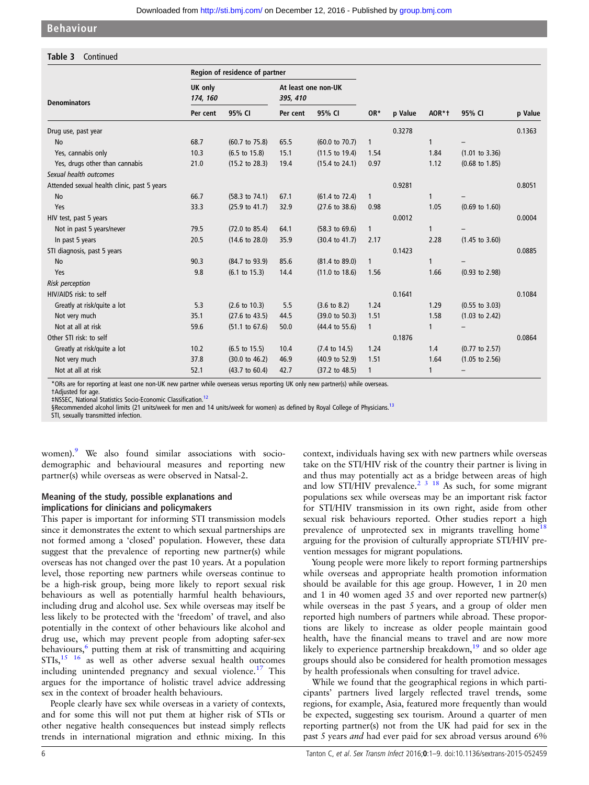#### Table 3 Continued

|                                             | Region of residence of partner |                           |          |                           |              |         |       |                           |         |
|---------------------------------------------|--------------------------------|---------------------------|----------|---------------------------|--------------|---------|-------|---------------------------|---------|
| <b>Denominators</b>                         | UK only<br>174, 160            |                           | 395, 410 | At least one non-UK       |              |         |       |                           |         |
|                                             | Per cent                       | 95% CI                    | Per cent | 95% CI                    | OR*          | p Value | AOR*t | 95% CI                    | p Value |
| Drug use, past year                         |                                |                           |          |                           |              | 0.3278  |       |                           | 0.1363  |
| <b>No</b>                                   | 68.7                           | $(60.7 \text{ to } 75.8)$ | 65.5     | (60.0 to 70.7)            | $\mathbf{1}$ |         |       |                           |         |
| Yes, cannabis only                          | 10.3                           | $(6.5 \text{ to } 15.8)$  | 15.1     | $(11.5 \text{ to } 19.4)$ | 1.54         |         | 1.84  | $(1.01 \text{ to } 3.36)$ |         |
| Yes, drugs other than cannabis              | 21.0                           | $(15.2 \text{ to } 28.3)$ | 19.4     | $(15.4 \text{ to } 24.1)$ | 0.97         |         | 1.12  | $(0.68 \text{ to } 1.85)$ |         |
| Sexual health outcomes                      |                                |                           |          |                           |              |         |       |                           |         |
| Attended sexual health clinic, past 5 years |                                |                           |          |                           |              | 0.9281  |       |                           | 0.8051  |
| <b>No</b>                                   | 66.7                           | $(58.3 \text{ to } 74.1)$ | 67.1     | $(61.4 \text{ to } 72.4)$ | $\mathbf{1}$ |         |       |                           |         |
| Yes                                         | 33.3                           | $(25.9 \text{ to } 41.7)$ | 32.9     | $(27.6 \text{ to } 38.6)$ | 0.98         |         | 1.05  | $(0.69 \text{ to } 1.60)$ |         |
| HIV test, past 5 years                      |                                |                           |          |                           |              | 0.0012  |       |                           | 0.0004  |
| Not in past 5 years/never                   | 79.5                           | $(72.0 \text{ to } 85.4)$ | 64.1     | $(58.3 \text{ to } 69.6)$ | $\mathbf{1}$ |         |       |                           |         |
| In past 5 years                             | 20.5                           | $(14.6 \text{ to } 28.0)$ | 35.9     | $(30.4 \text{ to } 41.7)$ | 2.17         |         | 2.28  | $(1.45 \text{ to } 3.60)$ |         |
| STI diagnosis, past 5 years                 |                                |                           |          |                           |              | 0.1423  |       |                           | 0.0885  |
| <b>No</b>                                   | 90.3                           | (84.7 to 93.9)            | 85.6     | $(81.4 \text{ to } 89.0)$ | $\mathbf{1}$ |         |       |                           |         |
| Yes                                         | 9.8                            | $(6.1 \text{ to } 15.3)$  | 14.4     | $(11.0 \text{ to } 18.6)$ | 1.56         |         | 1.66  | $(0.93$ to $2.98)$        |         |
| <b>Risk perception</b>                      |                                |                           |          |                           |              |         |       |                           |         |
| HIV/AIDS risk: to self                      |                                |                           |          |                           |              | 0.1641  |       |                           | 0.1084  |
| Greatly at risk/quite a lot                 | 5.3                            | $(2.6 \text{ to } 10.3)$  | 5.5      | $(3.6 \text{ to } 8.2)$   | 1.24         |         | 1.29  | $(0.55$ to 3.03)          |         |
| Not very much                               | 35.1                           | $(27.6 \text{ to } 43.5)$ | 44.5     | $(39.0 \text{ to } 50.3)$ | 1.51         |         | 1.58  | $(1.03 \text{ to } 2.42)$ |         |
| Not at all at risk                          | 59.6                           | $(51.1 \text{ to } 67.6)$ | 50.0     | $(44.4 \text{ to } 55.6)$ | $\mathbf{1}$ |         | 1     |                           |         |
| Other STI risk: to self                     |                                |                           |          |                           |              | 0.1876  |       |                           | 0.0864  |
| Greatly at risk/quite a lot                 | 10.2                           | $(6.5 \text{ to } 15.5)$  | 10.4     | $(7.4 \text{ to } 14.5)$  | 1.24         |         | 1.4   | $(0.77$ to 2.57)          |         |
| Not very much                               | 37.8                           | $(30.0 \text{ to } 46.2)$ | 46.9     | $(40.9 \text{ to } 52.9)$ | 1.51         |         | 1.64  | $(1.05 \text{ to } 2.56)$ |         |
| Not at all at risk                          | 52.1                           | $(43.7 \text{ to } 60.4)$ | 42.7     | $(37.2 \text{ to } 48.5)$ | $\mathbf{1}$ |         |       |                           |         |

\*ORs are for reporting at least one non-UK new partner while overseas versus reporting UK only new partner(s) while overseas.

†Adjusted for age. ‡NSSEC, National Statistics Socio-Economic Classification.[12](#page-8-0)

§Recommended alcohol limits (21 units/week for men and 14 units/week for women) as defined by Royal College of Physicians.<sup>[13](#page-8-0)</sup>

STI, sexually transmitted infection.

women).<sup>[9](#page-8-0)</sup> We also found similar associations with sociodemographic and behavioural measures and reporting new partner(s) while overseas as were observed in Natsal-2.

# Meaning of the study, possible explanations and implications for clinicians and policymakers

This paper is important for informing STI transmission models since it demonstrates the extent to which sexual partnerships are not formed among a 'closed' population. However, these data suggest that the prevalence of reporting new partner(s) while overseas has not changed over the past 10 years. At a population level, those reporting new partners while overseas continue to be a high-risk group, being more likely to report sexual risk behaviours as well as potentially harmful health behaviours, including drug and alcohol use. Sex while overseas may itself be less likely to be protected with the 'freedom' of travel, and also potentially in the context of other behaviours like alcohol and drug use, which may prevent people from adopting safer-sex behaviours,<sup>[6](#page-8-0)</sup> putting them at risk of transmitting and acquiring STIs,<sup>[15 16](#page-8-0)</sup> as well as other adverse sexual health outcomes including unintended pregnancy and sexual violence.<sup>[17](#page-8-0)</sup> This argues for the importance of holistic travel advice addressing sex in the context of broader health behaviours.

People clearly have sex while overseas in a variety of contexts, and for some this will not put them at higher risk of STIs or other negative health consequences but instead simply reflects trends in international migration and ethnic mixing. In this

context, individuals having sex with new partners while overseas take on the STI/HIV risk of the country their partner is living in and thus may potentially act as a bridge between areas of high and low STI/HIV prevalence.<sup>[2 3 18](#page-8-0)</sup> As such, for some migrant populations sex while overseas may be an important risk factor for STI/HIV transmission in its own right, aside from other sexual risk behaviours reported. Other studies report a high prevalence of unprotected sex in migrants travelling home<sup>[18](#page-8-0)</sup> arguing for the provision of culturally appropriate STI/HIV prevention messages for migrant populations.

Young people were more likely to report forming partnerships while overseas and appropriate health promotion information should be available for this age group. However, 1 in 20 men and 1 in 40 women aged 35 and over reported new partner(s) while overseas in the past 5 years, and a group of older men reported high numbers of partners while abroad. These proportions are likely to increase as older people maintain good health, have the financial means to travel and are now more likely to experience partnership breakdown, $19$  and so older age groups should also be considered for health promotion messages by health professionals when consulting for travel advice.

While we found that the geographical regions in which participants' partners lived largely reflected travel trends, some regions, for example, Asia, featured more frequently than would be expected, suggesting sex tourism. Around a quarter of men reporting partner(s) not from the UK had paid for sex in the past 5 years and had ever paid for sex abroad versus around 6%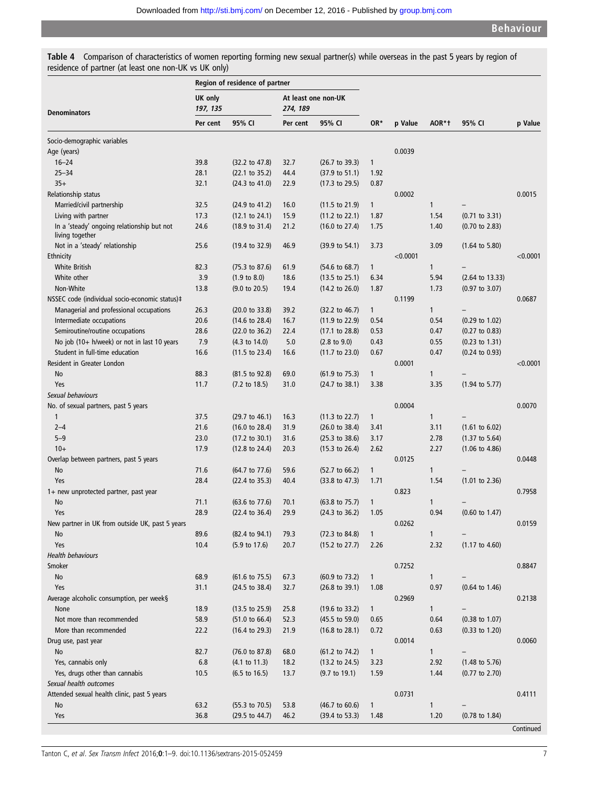<span id="page-6-0"></span>Table 4 Comparison of characteristics of women reporting forming new sexual partner(s) while overseas in the past 5 years by region of residence of partner (at least one non-UK vs UK only)

|                                                               |                     | Region of residence of partner |          |                           |              |          |              |                            |           |
|---------------------------------------------------------------|---------------------|--------------------------------|----------|---------------------------|--------------|----------|--------------|----------------------------|-----------|
| <b>Denominators</b>                                           | UK only<br>197, 135 |                                | 274, 189 | At least one non-UK       |              |          |              |                            |           |
|                                                               | Per cent            | 95% CI                         | Per cent | 95% CI                    | OR*          | p Value  | AOR*t        | 95% CI                     | p Value   |
| Socio-demographic variables                                   |                     |                                |          |                           |              |          |              |                            |           |
| Age (years)                                                   |                     |                                |          |                           |              | 0.0039   |              |                            |           |
| $16 - 24$                                                     | 39.8                | $(32.2 \text{ to } 47.8)$      | 32.7     | $(26.7 \text{ to } 39.3)$ | $\mathbf{1}$ |          |              |                            |           |
| $25 - 34$                                                     | 28.1                | $(22.1 \text{ to } 35.2)$      | 44.4     | $(37.9 \text{ to } 51.1)$ | 1.92         |          |              |                            |           |
| $35+$                                                         | 32.1                | $(24.3 \text{ to } 41.0)$      | 22.9     | $(17.3 \text{ to } 29.5)$ | 0.87         |          |              |                            |           |
| Relationship status                                           |                     |                                |          |                           |              | 0.0002   |              |                            | 0.0015    |
| Married/civil partnership                                     | 32.5                | $(24.9 \text{ to } 41.2)$      | 16.0     | $(11.5 \text{ to } 21.9)$ | $\mathbf{1}$ |          | $\mathbf{1}$ |                            |           |
| Living with partner                                           | 17.3                | $(12.1 \text{ to } 24.1)$      | 15.9     | $(11.2 \text{ to } 22.1)$ | 1.87         |          | 1.54         | $(0.71$ to 3.31)           |           |
| In a 'steady' ongoing relationship but not<br>living together | 24.6                | $(18.9 \text{ to } 31.4)$      | 21.2     | $(16.0 \text{ to } 27.4)$ | 1.75         |          | 1.40         | $(0.70 \text{ to } 2.83)$  |           |
| Not in a 'steady' relationship                                | 25.6                | $(19.4 \text{ to } 32.9)$      | 46.9     | $(39.9 \text{ to } 54.1)$ | 3.73         |          | 3.09         | $(1.64 \text{ to } 5.80)$  |           |
| Ethnicity                                                     |                     |                                |          |                           |              | < 0.0001 |              |                            | < 0.0001  |
| <b>White British</b>                                          | 82.3                | $(75.3 \text{ to } 87.6)$      | 61.9     | $(54.6 \text{ to } 68.7)$ | $\mathbf{1}$ |          | 1            |                            |           |
| White other                                                   | 3.9                 | $(1.9 \text{ to } 8.0)$        | 18.6     | $(13.5 \text{ to } 25.1)$ | 6.34         |          | 5.94         | $(2.64 \text{ to } 13.33)$ |           |
| Non-White                                                     | 13.8                | $(9.0 \text{ to } 20.5)$       | 19.4     | $(14.2 \text{ to } 26.0)$ | 1.87         |          | 1.73         | $(0.97$ to 3.07)           |           |
| NSSEC code (individual socio-economic status)‡                |                     |                                |          |                           |              | 0.1199   |              |                            | 0.0687    |
| Managerial and professional occupations                       | 26.3                | $(20.0 \text{ to } 33.8)$      | 39.2     | $(32.2 \text{ to } 46.7)$ | $\mathbf{1}$ |          | $\mathbf{1}$ |                            |           |
| Intermediate occupations                                      | 20.6                | $(14.6 \text{ to } 28.4)$      | 16.7     | $(11.9 \text{ to } 22.9)$ | 0.54         |          | 0.54         | $(0.29 \text{ to } 1.02)$  |           |
| Semiroutine/routine occupations                               | 28.6                | (22.0 to 36.2)                 | 22.4     | $(17.1 \text{ to } 28.8)$ | 0.53         |          | 0.47         | $(0.27 \text{ to } 0.83)$  |           |
| No job (10+ h/week) or not in last 10 years                   | 7.9                 | $(4.3 \text{ to } 14.0)$       | 5.0      | $(2.8 \text{ to } 9.0)$   | 0.43         |          | 0.55         | $(0.23 \text{ to } 1.31)$  |           |
| Student in full-time education                                | 16.6                | $(11.5 \text{ to } 23.4)$      | 16.6     | $(11.7 \text{ to } 23.0)$ | 0.67         |          | 0.47         | $(0.24 \text{ to } 0.93)$  |           |
| Resident in Greater London                                    |                     |                                |          |                           |              | 0.0001   |              |                            | < 0.0001  |
| No                                                            | 88.3                | $(81.5 \text{ to } 92.8)$      | 69.0     | $(61.9 \text{ to } 75.3)$ | $\mathbf{1}$ |          | 1            |                            |           |
| Yes                                                           | 11.7                | $(7.2 \text{ to } 18.5)$       | 31.0     | $(24.7 \text{ to } 38.1)$ | 3.38         |          | 3.35         | $(1.94 \text{ to } 5.77)$  |           |
| Sexual behaviours                                             |                     |                                |          |                           |              |          |              |                            |           |
| No. of sexual partners, past 5 years                          |                     |                                |          |                           |              | 0.0004   |              |                            | 0.0070    |
| 1                                                             | 37.5                | $(29.7 \text{ to } 46.1)$      | 16.3     | (11.3 to 22.7)            | $\mathbf{1}$ |          | 1            |                            |           |
| $2 - 4$                                                       | 21.6                | $(16.0 \text{ to } 28.4)$      | 31.9     | $(26.0 \text{ to } 38.4)$ | 3.41         |          | 3.11         | $(1.61 \text{ to } 6.02)$  |           |
| $5 - 9$                                                       | 23.0                | $(17.2 \text{ to } 30.1)$      | 31.6     | $(25.3 \text{ to } 38.6)$ | 3.17         |          | 2.78         | $(1.37 \text{ to } 5.64)$  |           |
| $10+$                                                         | 17.9                | $(12.8 \text{ to } 24.4)$      | 20.3     | $(15.3 \text{ to } 26.4)$ | 2.62         |          | 2.27         | $(1.06 \text{ to } 4.86)$  |           |
| Overlap between partners, past 5 years                        |                     |                                |          |                           |              | 0.0125   |              |                            | 0.0448    |
| No                                                            | 71.6                | $(64.7 \text{ to } 77.6)$      | 59.6     | $(52.7 \text{ to } 66.2)$ | $\mathbf{1}$ |          | 1            |                            |           |
| Yes                                                           | 28.4                | $(22.4 \text{ to } 35.3)$      | 40.4     | $(33.8 \text{ to } 47.3)$ | 1.71         |          | 1.54         | $(1.01 \text{ to } 2.36)$  |           |
| 1+ new unprotected partner, past year<br>No                   | 71.1                |                                | 70.1     |                           | $\mathbf{1}$ | 0.823    | 1            |                            | 0.7958    |
| Yes                                                           | 28.9                | $(63.6 \text{ to } 77.6)$      | 29.9     | $(63.8 \text{ to } 75.7)$ | 1.05         |          | 0.94         | $(0.60 \text{ to } 1.47)$  |           |
|                                                               |                     | $(22.4 \text{ to } 36.4)$      |          | $(24.3 \text{ to } 36.2)$ |              |          |              |                            |           |
| New partner in UK from outside UK, past 5 years<br>No         | 89.6                | (82.4 to 94.1)                 | 79.3     | (72.3 to 84.8)            | $\mathbf{1}$ | 0.0262   | $\mathbf{1}$ |                            | 0.0159    |
| Yes                                                           | 10.4                | $(5.9 \text{ to } 17.6)$       | 20.7     | $(15.2 \text{ to } 27.7)$ | 2.26         |          | 2.32         | $(1.17 \text{ to } 4.60)$  |           |
| <b>Health behaviours</b>                                      |                     |                                |          |                           |              |          |              |                            |           |
| Smoker                                                        |                     |                                |          |                           |              | 0.7252   |              |                            | 0.8847    |
| No                                                            | 68.9                | $(61.6 \text{ to } 75.5)$      | 67.3     | (60.9 to 73.2)            | $\mathbf{1}$ |          | $\mathbf{1}$ |                            |           |
| Yes                                                           | 31.1                | $(24.5 \text{ to } 38.4)$      | 32.7     | $(26.8 \text{ to } 39.1)$ | 1.08         |          | 0.97         | $(0.64 \text{ to } 1.46)$  |           |
| Average alcoholic consumption, per week§                      |                     |                                |          |                           |              | 0.2969   |              |                            | 0.2138    |
| None                                                          | 18.9                | $(13.5 \text{ to } 25.9)$      | 25.8     | $(19.6 \text{ to } 33.2)$ | $\mathbf{1}$ |          | $\mathbf{1}$ |                            |           |
| Not more than recommended                                     | 58.9                | $(51.0 \text{ to } 66.4)$      | 52.3     | $(45.5 \text{ to } 59.0)$ | 0.65         |          | 0.64         | $(0.38 \text{ to } 1.07)$  |           |
| More than recommended                                         | 22.2                | $(16.4 \text{ to } 29.3)$      | 21.9     | $(16.8 \text{ to } 28.1)$ | 0.72         |          | 0.63         | $(0.33$ to $1.20)$         |           |
| Drug use, past year                                           |                     |                                |          |                           |              | 0.0014   |              |                            | 0.0060    |
| No                                                            | 82.7                | (76.0 to 87.8)                 | 68.0     | $(61.2 \text{ to } 74.2)$ | $\mathbf{1}$ |          | $\mathbf{1}$ |                            |           |
| Yes, cannabis only                                            | 6.8                 | $(4.1 \text{ to } 11.3)$       | 18.2     | $(13.2 \text{ to } 24.5)$ | 3.23         |          | 2.92         | $(1.48 \text{ to } 5.76)$  |           |
| Yes, drugs other than cannabis                                | 10.5                | $(6.5 \text{ to } 16.5)$       | 13.7     | $(9.7 \text{ to } 19.1)$  | 1.59         |          | 1.44         | $(0.77$ to 2.70)           |           |
| Sexual health outcomes                                        |                     |                                |          |                           |              |          |              |                            |           |
| Attended sexual health clinic, past 5 years                   |                     |                                |          |                           |              | 0.0731   |              |                            | 0.4111    |
| No                                                            | 63.2                | (55.3 to 70.5)                 | 53.8     | $(46.7 \text{ to } 60.6)$ | $\mathbf{1}$ |          | 1            |                            |           |
| Yes                                                           | 36.8                | (29.5 to 44.7)                 | 46.2     | $(39.4 \text{ to } 53.3)$ | 1.48         |          | 1.20         | $(0.78 \text{ to } 1.84)$  |           |
|                                                               |                     |                                |          |                           |              |          |              |                            | Continued |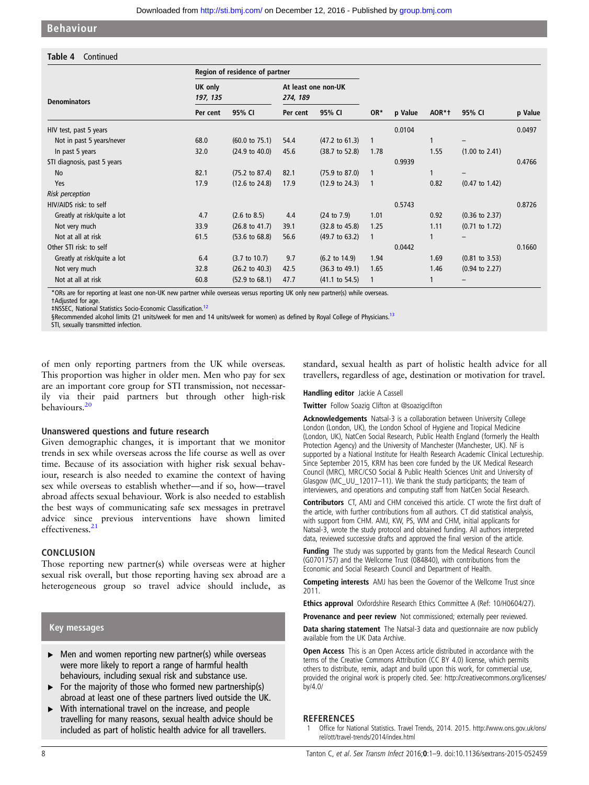#### <span id="page-7-0"></span>Table 4 Continued

|                             |                     | Region of residence of partner |          |                           |      |         |       |                           |         |
|-----------------------------|---------------------|--------------------------------|----------|---------------------------|------|---------|-------|---------------------------|---------|
| <b>Denominators</b>         | UK only<br>197, 135 |                                | 274, 189 | At least one non-UK       |      |         |       |                           |         |
|                             | Per cent            | 95% CI                         | Per cent | 95% CI                    | OR*  | p Value | AOR*t | 95% CI                    | p Value |
| HIV test, past 5 years      |                     |                                |          |                           |      | 0.0104  |       |                           | 0.0497  |
| Not in past 5 years/never   | 68.0                | $(60.0 \text{ to } 75.1)$      | 54.4     | $(47.2 \text{ to } 61.3)$ |      |         |       |                           |         |
| In past 5 years             | 32.0                | $(24.9 \text{ to } 40.0)$      | 45.6     | $(38.7 \text{ to } 52.8)$ | 1.78 |         | 1.55  | $(1.00 \text{ to } 2.41)$ |         |
| STI diagnosis, past 5 years |                     |                                |          |                           |      | 0.9939  |       |                           | 0.4766  |
| <b>No</b>                   | 82.1                | $(75.2 \text{ to } 87.4)$      | 82.1     | $(75.9 \text{ to } 87.0)$ |      |         |       |                           |         |
| Yes                         | 17.9                | $(12.6 \text{ to } 24.8)$      | 17.9     | $(12.9 \text{ to } 24.3)$ |      |         | 0.82  | $(0.47 \text{ to } 1.42)$ |         |
| <b>Risk perception</b>      |                     |                                |          |                           |      |         |       |                           |         |
| HIV/AIDS risk: to self      |                     |                                |          |                           |      | 0.5743  |       |                           | 0.8726  |
| Greatly at risk/quite a lot | 4.7                 | $(2.6 \text{ to } 8.5)$        | 4.4      | (24 to 7.9)               | 1.01 |         | 0.92  | $(0.36 \text{ to } 2.37)$ |         |
| Not very much               | 33.9                | $(26.8 \text{ to } 41.7)$      | 39.1     | $(32.8 \text{ to } 45.8)$ | 1.25 |         | 1.11  | $(0.71 \text{ to } 1.72)$ |         |
| Not at all at risk          | 61.5                | $(53.6 \text{ to } 68.8)$      | 56.6     | $(49.7 \text{ to } 63.2)$ |      |         |       |                           |         |
| Other STI risk: to self     |                     |                                |          |                           |      | 0.0442  |       |                           | 0.1660  |
| Greatly at risk/quite a lot | 6.4                 | $(3.7 \text{ to } 10.7)$       | 9.7      | $(6.2 \text{ to } 14.9)$  | 1.94 |         | 1.69  | $(0.81 \text{ to } 3.53)$ |         |
| Not very much               | 32.8                | $(26.2 \text{ to } 40.3)$      | 42.5     | $(36.3 \text{ to } 49.1)$ | 1.65 |         | 1.46  | $(0.94 \text{ to } 2.27)$ |         |
| Not at all at risk          | 60.8                | $(52.9 \text{ to } 68.1)$      | 47.7     | $(41.1 \text{ to } 54.5)$ |      |         |       |                           |         |

)Rs are for reporting at least one non-UK new partner while overseas versus reporting UK only new partner(s) while overseas

†Adjusted for age.

‡NSSEC, National Statistics Socio-Economic Classification.[12](#page-8-0)

§Recommended alcohol limits (21 units/week for men and 14 units/week for women) as defined by Royal College of Physicians.<sup>[13](#page-8-0)</sup>

STI, sexually transmitted infection.

of men only reporting partners from the UK while overseas. This proportion was higher in older men. Men who pay for sex are an important core group for STI transmission, not necessarily via their paid partners but through other high-risk behaviours.[20](#page-8-0)

#### Unanswered questions and future research

Given demographic changes, it is important that we monitor trends in sex while overseas across the life course as well as over time. Because of its association with higher risk sexual behaviour, research is also needed to examine the context of having sex while overseas to establish whether—and if so, how—travel abroad affects sexual behaviour. Work is also needed to establish the best ways of communicating safe sex messages in pretravel advice since previous interventions have shown limited effectiveness.<sup>2</sup>

#### **CONCLUSION**

Those reporting new partner(s) while overseas were at higher sexual risk overall, but those reporting having sex abroad are a heterogeneous group so travel advice should include, as

#### Key messages

- $\triangleright$  Men and women reporting new partner(s) while overseas were more likely to report a range of harmful health behaviours, including sexual risk and substance use.
- $\triangleright$  For the majority of those who formed new partnership(s) abroad at least one of these partners lived outside the UK.
- With international travel on the increase, and people travelling for many reasons, sexual health advice should be included as part of holistic health advice for all travellers.

standard, sexual health as part of holistic health advice for all travellers, regardless of age, destination or motivation for travel.

Handling editor Jackie A Cassell

Twitter Follow Soazig Clifton at [@soazigclifton](http://twitter.com/soazigclifton)

Acknowledgements Natsal-3 is a collaboration between University College London (London, UK), the London School of Hygiene and Tropical Medicine (London, UK), NatCen Social Research, Public Health England (formerly the Health Protection Agency) and the University of Manchester (Manchester, UK). NF is supported by a National Institute for Health Research Academic Clinical Lectureship. Since September 2015, KRM has been core funded by the UK Medical Research Council (MRC), MRC/CSO Social & Public Health Sciences Unit and University of Glasgow (MC\_UU\_12017–11). We thank the study participants; the team of interviewers, and operations and computing staff from NatCen Social Research.

Contributors CT, AMJ and CHM conceived this article. CT wrote the first draft of the article, with further contributions from all authors. CT did statistical analysis, with support from CHM. AMJ, KW, PS, WM and CHM, initial applicants for Natsal-3, wrote the study protocol and obtained funding. All authors interpreted data, reviewed successive drafts and approved the final version of the article.

Funding The study was supported by grants from the Medical Research Council (G0701757) and the Wellcome Trust (084840), with contributions from the Economic and Social Research Council and Department of Health.

Competing interests AMJ has been the Governor of the Wellcome Trust since 2011.

Ethics approval Oxfordshire Research Ethics Committee A (Ref: 10/H0604/27).

Provenance and peer review Not commissioned; externally peer reviewed.

Data sharing statement The Natsal-3 data and questionnaire are now publicly available from the UK Data Archive.

Open Access This is an Open Access article distributed in accordance with the terms of the Creative Commons Attribution (CC BY 4.0) license, which permits others to distribute, remix, adapt and build upon this work, for commercial use, provided the original work is properly cited. See: [http://creativecommons.org/licenses/](http://creativecommons.org/licenses/by/4.0/) [by/4.0/](http://creativecommons.org/licenses/by/4.0/)

#### REFERENCES

Office for National Statistics. Travel Trends, 2014. 2015. [http://www.ons.gov.uk/ons/](http://www.ons.gov.uk/ons/rel/ott/travel-trends/2014/index.html) [rel/ott/travel-trends/2014/index.html](http://www.ons.gov.uk/ons/rel/ott/travel-trends/2014/index.html)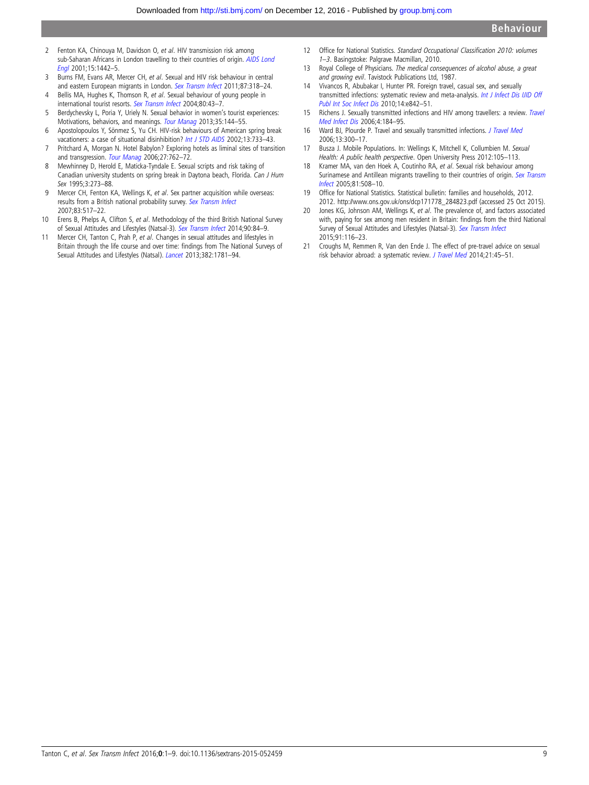- <span id="page-8-0"></span>2 Fenton KA, Chinouya M, Davidson O, et al. HIV transmission risk among sub-Saharan Africans in London travelling to their countries of origin. [AIDS Lond](http://dx.doi.org/10.1097/00002030-200107270-00017) [Engl](http://dx.doi.org/10.1097/00002030-200107270-00017) 2001;15:1442–5.
- 3 Burns FM, Evans AR, Mercer CH, et al. Sexual and HIV risk behaviour in central and eastern European migrants in London. [Sex Transm Infect](http://dx.doi.org/10.1136/sti.2010.047209) 2011;87:318–24.
- 4 Bellis MA, Hughes K, Thomson R, et al. Sexual behaviour of young people in international tourist resorts. [Sex Transm Infect](http://dx.doi.org/10.1136/sti.2003.005199) 2004;80:43–7.
- 5 Berdychevsky L, Poria Y, Uriely N. Sexual behavior in women's tourist experiences: Motivations, behaviors, and meanings. [Tour Manag](http://dx.doi.org/10.1016/j.tourman.2012.06.011) 2013;35:144–55.
- 6 Apostolopoulos Y, Sönmez S, Yu CH. HIV-risk behaviours of American spring break vacationers: a case of situational disinhibition? [Int J STD AIDS](http://dx.doi.org/10.1258/095646202320753673) 2002;13:733-43.
- 7 Pritchard A, Morgan N. Hotel Babylon? Exploring hotels as liminal sites of transition and transgression. [Tour Manag](http://dx.doi.org/10.1016/j.tourman.2005.05.015) 2006;27:762–72.
- 8 Mewhinney D, Herold E, Maticka-Tyndale E. Sexual scripts and risk taking of Canadian university students on spring break in Daytona beach, Florida. Can J Hum Sex 1995;3:273–88.
- 9 Mercer CH, Fenton KA, Wellings K, et al. Sex partner acquisition while overseas: results from a British national probability survey. [Sex Transm Infect](http://dx.doi.org/10.1136/sti.2007.026377) 2007;83:517–22.
- 10 Erens B, Phelps A, Clifton S, et al. Methodology of the third British National Survey of Sexual Attitudes and Lifestyles (Natsal-3). [Sex Transm Infect](http://dx.doi.org/10.1136/sextrans-2013-051359) 2014;90:84-9.
- 11 Mercer CH, Tanton C, Prah P, et al. Changes in sexual attitudes and lifestyles in Britain through the life course and over time: findings from The National Surveys of Sexual Attitudes and Lifestyles (Natsal). [Lancet](http://dx.doi.org/10.1016/S0140-6736(13)62035-8) 2013;382:1781–94.
- 12 Office for National Statistics. Standard Occupational Classification 2010: volumes 1–3. Basingstoke: Palgrave Macmillan, 2010.
- 13 Royal College of Physicians. The medical consequences of alcohol abuse, a great and growing evil. Tavistock Publications Ltd, 1987.
- 14 Vivancos R, Abubakar I, Hunter PR. Foreign travel, casual sex, and sexually transmitted infections: systematic review and meta-analysis. [Int J Infect Dis IJID Off](http://dx.doi.org/10.1016/j.ijid.2010.02.2251) [Publ Int Soc Infect Dis](http://dx.doi.org/10.1016/j.ijid.2010.02.2251) 2010;14:e842-51.
- 15 Richens J. Sexually transmitted infections and HIV among travellers: a review. [Travel](http://dx.doi.org/10.1016/j.tmaid.2005.06.010) Med [Infect Dis](http://dx.doi.org/10.1016/j.tmaid.2005.06.010) 2006;4:184–95.
- 16 Ward BJ, Plourde P. Travel and sexually transmitted infections. [J Travel Med](http://dx.doi.org/10.1111/j.1708-8305.2006.00061.x) 2006;13:300–17.
- 17 Busza J. Mobile Populations. In: Wellings K, Mitchell K, Collumbien M. Sexual Health: A public health perspective. Open University Press 2012:105–113.
- 18 Kramer MA, van den Hoek A, Coutinho RA, et al. Sexual risk behaviour among Surinamese and Antillean migrants travelling to their countries of origin. [Sex Transm](http://dx.doi.org/10.1136/sti.2004.014282) [Infect](http://dx.doi.org/10.1136/sti.2004.014282) 2005;81:508–10.
- 19 Office for National Statistics. Statistical bulletin: families and households, 2012. 2012. [http://www.ons.gov.uk/ons/dcp171778\\_284823.pdf](http://www.ons.gov.uk/ons/dcp171778_284823.pdf) (accessed 25 Oct 2015).
- 20 Jones KG, Johnson AM, Wellings K, et al. The prevalence of, and factors associated with, paying for sex among men resident in Britain: findings from the third National Survey of Sexual Attitudes and Lifestyles (Natsal-3). [Sex Transm Infect](http://dx.doi.org/10.1136/sextrans-2014-051683) 2015;91:116–23.
- 21 Croughs M, Remmen R, Van den Ende J. The effect of pre-travel advice on sexual risk behavior abroad: a systematic review. [J Travel Med](http://dx.doi.org/10.1111/jtm.12084) 2014;21:45-51.